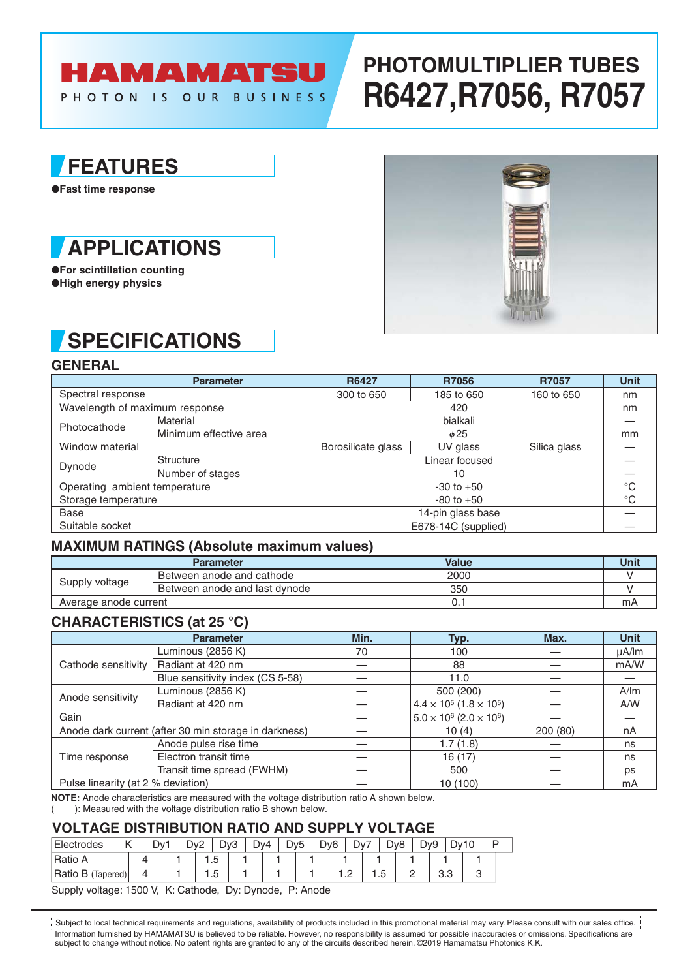## HAMAMATSU

PHOTON IS OUR BUSINESS

# **PHOTOMULTIPLIER TUBES R6427,R7056, R7057**

### **FEATURES**

●**Fast time response**



●**For scintillation counting** ●**High energy physics**

## **SPECIFICATIONS**

**GENERAL**

|                                | <b>Parameter</b>       | <b>R6427</b>        | <b>R7056</b> | R7057        | <b>Unit</b> |  |  |
|--------------------------------|------------------------|---------------------|--------------|--------------|-------------|--|--|
| Spectral response              |                        | 300 to 650          | 185 to 650   | 160 to 650   | nm          |  |  |
| Wavelength of maximum response |                        |                     | nm           |              |             |  |  |
| Photocathode                   | Material               |                     |              |              |             |  |  |
|                                | Minimum effective area |                     | mm           |              |             |  |  |
| Window material                |                        | Borosilicate glass  | UV glass     | Silica glass |             |  |  |
| Dynode                         | Structure              |                     |              |              |             |  |  |
|                                | Number of stages       |                     |              |              |             |  |  |
| Operating ambient temperature  |                        | $-30$ to $+50$      |              |              |             |  |  |
| Storage temperature            |                        |                     | $^{\circ}C$  |              |             |  |  |
| <b>Base</b>                    |                        |                     |              |              |             |  |  |
| Suitable socket                |                        | E678-14C (supplied) |              |              |             |  |  |

#### **MAXIMUM RATINGS (Absolute maximum values)**

|                       | <b>Parameter</b>              | Value | Unit |
|-----------------------|-------------------------------|-------|------|
| Supply voltage        | Between anode and cathode     | 2000  |      |
|                       | Between anode and last dynode | 350   |      |
| Average anode current |                               | U.    | mA   |

### **CHARACTERISTICS (at 25 °C)**

|                                    | <b>Parameter</b>                                      | Min. | Typ.                                              | Max.    | <b>Unit</b> |
|------------------------------------|-------------------------------------------------------|------|---------------------------------------------------|---------|-------------|
| Cathode sensitivity                | Luminous (2856 K)                                     | 70   | 100                                               |         | $\mu$ A/lm  |
|                                    | Radiant at 420 nm                                     |      | 88                                                |         | mA/W        |
|                                    | Blue sensitivity index (CS 5-58)                      |      | 11.0                                              |         |             |
| Anode sensitivity                  | Luminous (2856 K)                                     |      | 500 (200)                                         |         | A/m         |
|                                    | Radiant at 420 nm                                     |      | $4.4 \times 10^5 (1.8 \times 10^5)$               |         | A/W         |
| Gain                               |                                                       |      | $5.0 \times 10^6$ (2.0 $\times$ 10 <sup>6</sup> ) |         |             |
|                                    | Anode dark current (after 30 min storage in darkness) |      | 10(4)                                             | 200(80) | nA          |
| Time response                      | Anode pulse rise time                                 |      | 1.7(1.8)                                          |         | ns          |
|                                    | Electron transit time                                 |      | 16 (17)                                           |         | ns          |
|                                    | Transit time spread (FWHM)                            |      | 500                                               |         | ps          |
| Pulse linearity (at 2 % deviation) |                                                       |      | 10 (100)                                          |         | mA          |

**NOTE:** Anode characteristics are measured with the voltage distribution ratio A shown below.

( ): Measured with the voltage distribution ratio B shown below.

#### **VOLTAGE DISTRIBUTION RATIO AND SUPPLY VOLTAGE**

| Electrodes        |  | Dv <sup>-</sup> | Dv <sub>2</sub> | Dv3           | Dv4 | Dv <sub>5</sub> |  | D <sub>v</sub> <sub>6</sub> | Dv7 |          | D <sub>v</sub> 8 |   | D <sub>v9</sub> |     | Dv10 |  |
|-------------------|--|-----------------|-----------------|---------------|-----|-----------------|--|-----------------------------|-----|----------|------------------|---|-----------------|-----|------|--|
| Ratio A           |  |                 |                 | $\cdot\cdot$  |     |                 |  |                             |     |          |                  |   |                 |     |      |  |
| Ratio B (Tapered) |  |                 |                 | -<br>∽<br>. ب |     |                 |  |                             | $-$ | h<br>ں ، |                  | - |                 | ບ.ບ |      |  |

Supply voltage: 1500 V, K: Cathode, Dy: Dynode, P: Anode

Information furnished by HAMAMATSU is believed to be reliable. However, no responsibility is assumed for possible inaccuracies or omissions. Specifications are subject to change without notice. No patent rights are granted to any of the circuits described herein. ©2019 Hamamatsu Photonics K.K. Subject to local technical requirements and regulations, availability of products included in this promotional material may vary. Please consult with our sales office.

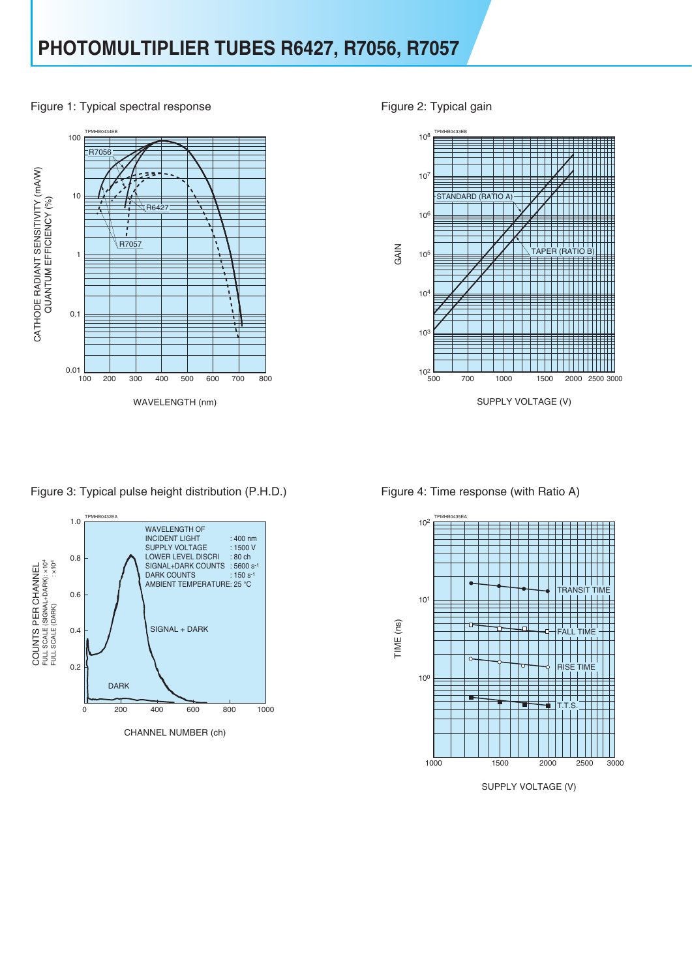

Figure 1: Typical spectral response Figure 2: Typical gain



Figure 3: Typical pulse height distribution (P.H.D.) Figure 4: Time response (with Ratio A)





SUPPLY VOLTAGE (V)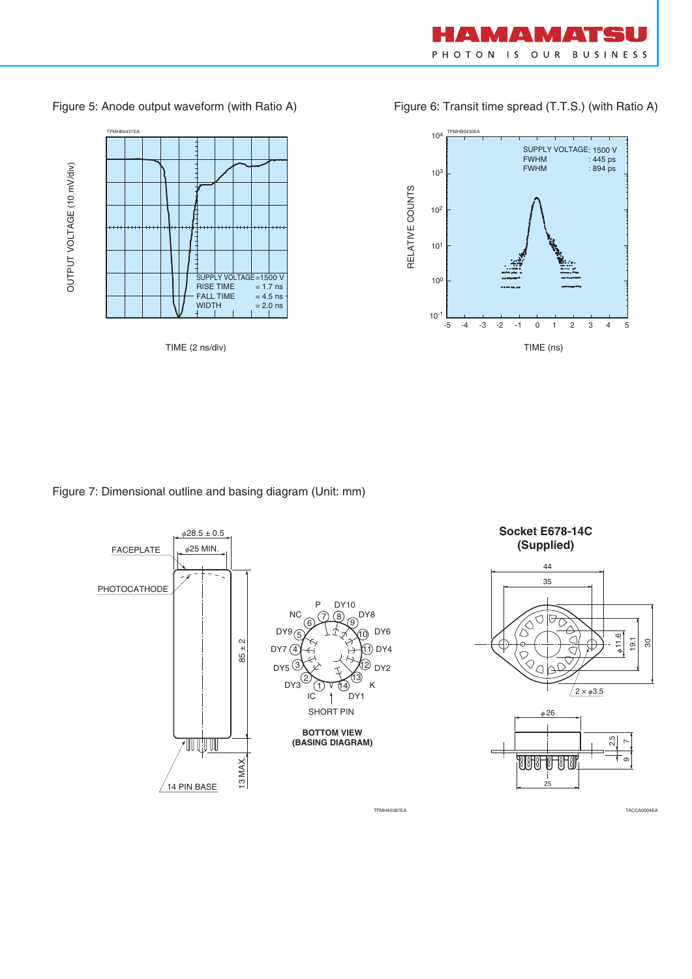

#### Figure 5: Anode output waveform (with Ratio A) Figure 6: Transit time spread (T.T.S.) (with Ratio A)



#### Figure 7: Dimensional outline and basing diagram (Unit: mm)



TPMHA0387EA TACCA0004EA